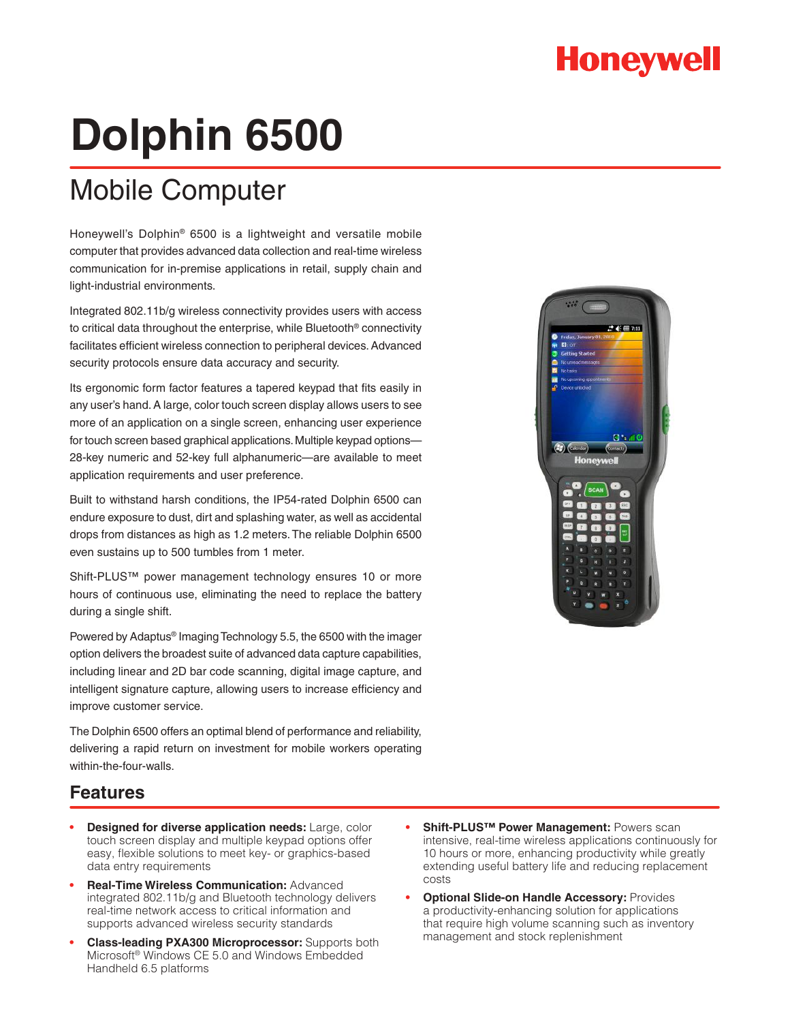## **Honeywell**

# **Dolphin 6500**

### Mobile Computer

Honeywell's Dolphin® 6500 is a lightweight and versatile mobile computer that provides advanced data collection and real-time wireless communication for in-premise applications in retail, supply chain and light-industrial environments.

Integrated 802.11b/g wireless connectivity provides users with access to critical data throughout the enterprise, while Bluetooth® connectivity facilitates efficient wireless connection to peripheral devices. Advanced security protocols ensure data accuracy and security.

Its ergonomic form factor features a tapered keypad that fits easily in any user's hand. A large, color touch screen display allows users to see more of an application on a single screen, enhancing user experience for touch screen based graphical applications. Multiple keypad options— 28-key numeric and 52-key full alphanumeric—are available to meet application requirements and user preference.

Built to withstand harsh conditions, the IP54-rated Dolphin 6500 can endure exposure to dust, dirt and splashing water, as well as accidental drops from distances as high as 1.2 meters. The reliable Dolphin 6500 even sustains up to 500 tumbles from 1 meter.

Shift-PLUS™ power management technology ensures 10 or more hours of continuous use, eliminating the need to replace the battery during a single shift.

Powered by Adaptus® Imaging Technology 5.5, the 6500 with the imager option delivers the broadest suite of advanced data capture capabilities, including linear and 2D bar code scanning, digital image capture, and intelligent signature capture, allowing users to increase efficiency and improve customer service.

The Dolphin 6500 offers an optimal blend of performance and reliability, delivering a rapid return on investment for mobile workers operating within-the-four-walls.

# п.  $\Omega$ **Honevwel**

### **Features**

- **Designed for diverse application needs:** Large, color touch screen display and multiple keypad options offer easy, flexible solutions to meet key- or graphics-based data entry requirements
- **• Real-Time Wireless Communication:** Advanced integrated 802.11b/g and Bluetooth technology delivers real-time network access to critical information and supports advanced wireless security standards
- **Class-leading PXA300 Microprocessor:** Supports both Microsoft® Windows CE 5.0 and Windows Embedded Handheld 6.5 platforms
- **Shift-PLUS™ Power Management: Powers scan** intensive, real-time wireless applications continuously for 10 hours or more, enhancing productivity while greatly extending useful battery life and reducing replacement costs
- **Optional Slide-on Handle Accessory: Provides** a productivity-enhancing solution for applications that require high volume scanning such as inventory management and stock replenishment